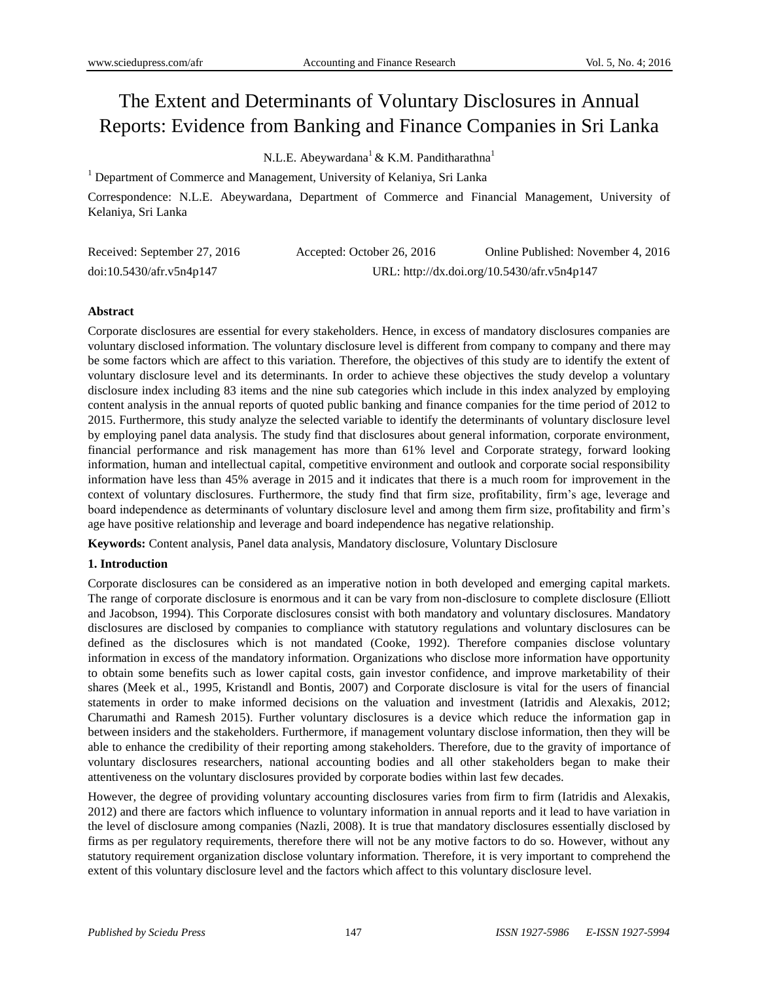# The Extent and Determinants of Voluntary Disclosures in Annual Reports: Evidence from Banking and Finance Companies in Sri Lanka

N.L.E. Abeywardana<sup>1</sup> & K.M. Panditharathna<sup>1</sup>

<sup>1</sup> Department of Commerce and Management, University of Kelaniya, Sri Lanka

Correspondence: N.L.E. Abeywardana, Department of Commerce and Financial Management, University of Kelaniya, Sri Lanka

| Received: September 27, 2016 | Accepted: October 26, 2016 | Online Published: November 4, 2016          |
|------------------------------|----------------------------|---------------------------------------------|
| doi:10.5430/afr.v5n4p147     |                            | URL: http://dx.doi.org/10.5430/afr.v5n4p147 |

## **Abstract**

Corporate disclosures are essential for every stakeholders. Hence, in excess of mandatory disclosures companies are voluntary disclosed information. The voluntary disclosure level is different from company to company and there may be some factors which are affect to this variation. Therefore, the objectives of this study are to identify the extent of voluntary disclosure level and its determinants. In order to achieve these objectives the study develop a voluntary disclosure index including 83 items and the nine sub categories which include in this index analyzed by employing content analysis in the annual reports of quoted public banking and finance companies for the time period of 2012 to 2015. Furthermore, this study analyze the selected variable to identify the determinants of voluntary disclosure level by employing panel data analysis. The study find that disclosures about general information, corporate environment, financial performance and risk management has more than 61% level and Corporate strategy, forward looking information, human and intellectual capital, competitive environment and outlook and corporate social responsibility information have less than 45% average in 2015 and it indicates that there is a much room for improvement in the context of voluntary disclosures. Furthermore, the study find that firm size, profitability, firm's age, leverage and board independence as determinants of voluntary disclosure level and among them firm size, profitability and firm's age have positive relationship and leverage and board independence has negative relationship.

**Keywords:** Content analysis, Panel data analysis, Mandatory disclosure, Voluntary Disclosure

# **1. Introduction**

Corporate disclosures can be considered as an imperative notion in both developed and emerging capital markets. The range of corporate disclosure is enormous and it can be vary from non-disclosure to complete disclosure (Elliott and Jacobson, 1994). This Corporate disclosures consist with both mandatory and voluntary disclosures. Mandatory disclosures are disclosed by companies to compliance with statutory regulations and voluntary disclosures can be defined as the disclosures which is not mandated (Cooke, 1992). Therefore companies disclose voluntary information in excess of the mandatory information. Organizations who disclose more information have opportunity to obtain some benefits such as lower capital costs, gain investor confidence, and improve marketability of their shares (Meek et al., 1995, Kristandl and Bontis, 2007) and Corporate disclosure is vital for the users of financial statements in order to make informed decisions on the valuation and investment (Iatridis and Alexakis, 2012; Charumathi and Ramesh 2015). Further voluntary disclosures is a device which reduce the information gap in between insiders and the stakeholders. Furthermore, if management voluntary disclose information, then they will be able to enhance the credibility of their reporting among stakeholders. Therefore, due to the gravity of importance of voluntary disclosures researchers, national accounting bodies and all other stakeholders began to make their attentiveness on the voluntary disclosures provided by corporate bodies within last few decades.

However, the degree of providing voluntary accounting disclosures varies from firm to firm (Iatridis and Alexakis, 2012) and there are factors which influence to voluntary information in annual reports and it lead to have variation in the level of disclosure among companies (Nazli, 2008). It is true that mandatory disclosures essentially disclosed by firms as per regulatory requirements, therefore there will not be any motive factors to do so. However, without any statutory requirement organization disclose voluntary information. Therefore, it is very important to comprehend the extent of this voluntary disclosure level and the factors which affect to this voluntary disclosure level.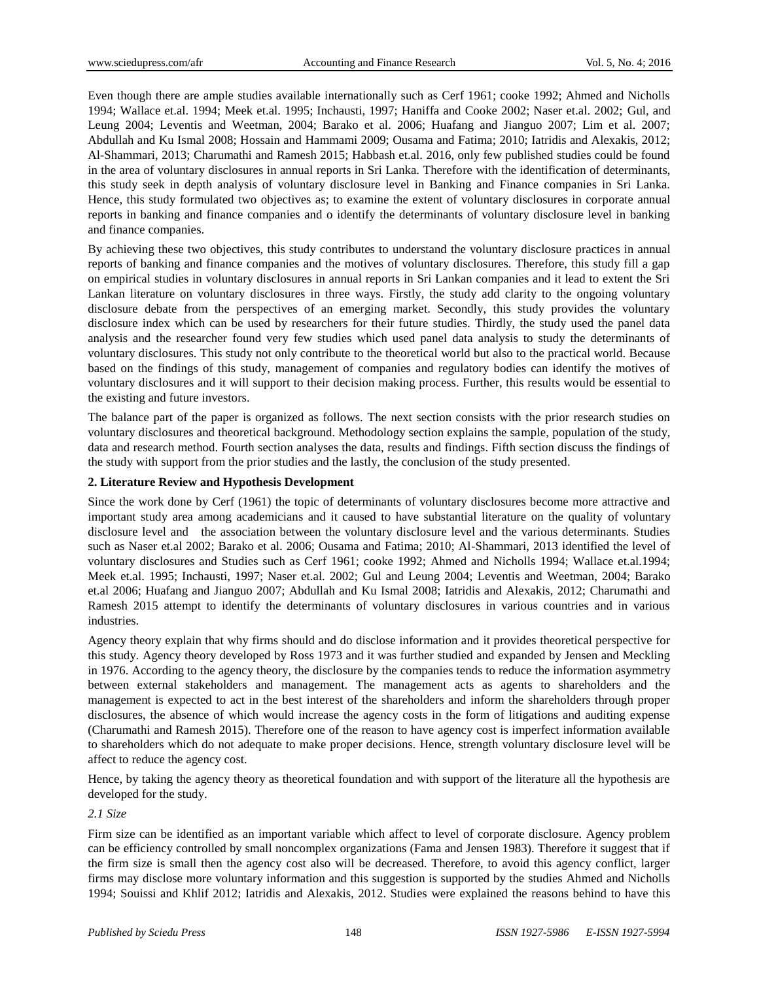Even though there are ample studies available internationally such as Cerf 1961; cooke 1992; Ahmed and Nicholls 1994; Wallace et.al. 1994; Meek et.al. 1995; Inchausti, 1997; Haniffa and Cooke 2002; Naser et.al. 2002; Gul, and Leung 2004; Leventis and Weetman, 2004; Barako et al. 2006; Huafang and Jianguo 2007; Lim et al. 2007; Abdullah and Ku Ismal 2008; Hossain and Hammami 2009; Ousama and Fatima; 2010; Iatridis and Alexakis, 2012; Al-Shammari, 2013; Charumathi and Ramesh 2015; Habbash et.al. 2016, only few published studies could be found in the area of voluntary disclosures in annual reports in Sri Lanka. Therefore with the identification of determinants, this study seek in depth analysis of voluntary disclosure level in Banking and Finance companies in Sri Lanka. Hence, this study formulated two objectives as; to examine the extent of voluntary disclosures in corporate annual reports in banking and finance companies and o identify the determinants of voluntary disclosure level in banking and finance companies.

By achieving these two objectives, this study contributes to understand the voluntary disclosure practices in annual reports of banking and finance companies and the motives of voluntary disclosures. Therefore, this study fill a gap on empirical studies in voluntary disclosures in annual reports in Sri Lankan companies and it lead to extent the Sri Lankan literature on voluntary disclosures in three ways. Firstly, the study add clarity to the ongoing voluntary disclosure debate from the perspectives of an emerging market. Secondly, this study provides the voluntary disclosure index which can be used by researchers for their future studies. Thirdly, the study used the panel data analysis and the researcher found very few studies which used panel data analysis to study the determinants of voluntary disclosures. This study not only contribute to the theoretical world but also to the practical world. Because based on the findings of this study, management of companies and regulatory bodies can identify the motives of voluntary disclosures and it will support to their decision making process. Further, this results would be essential to the existing and future investors.

The balance part of the paper is organized as follows. The next section consists with the prior research studies on voluntary disclosures and theoretical background. Methodology section explains the sample, population of the study, data and research method. Fourth section analyses the data, results and findings. Fifth section discuss the findings of the study with support from the prior studies and the lastly, the conclusion of the study presented.

# **2. Literature Review and Hypothesis Development**

Since the work done by Cerf (1961) the topic of determinants of voluntary disclosures become more attractive and important study area among academicians and it caused to have substantial literature on the quality of voluntary disclosure level and the association between the voluntary disclosure level and the various determinants. Studies such as Naser et.al 2002; Barako et al. 2006; Ousama and Fatima; 2010; Al-Shammari, 2013 identified the level of voluntary disclosures and Studies such as Cerf 1961; cooke 1992; Ahmed and Nicholls 1994; Wallace et.al.1994; Meek et.al. 1995; Inchausti, 1997; Naser et.al. 2002; Gul and Leung 2004; Leventis and Weetman, 2004; Barako et.al 2006; Huafang and Jianguo 2007; Abdullah and Ku Ismal 2008; Iatridis and Alexakis, 2012; Charumathi and Ramesh 2015 attempt to identify the determinants of voluntary disclosures in various countries and in various industries.

Agency theory explain that why firms should and do disclose information and it provides theoretical perspective for this study. Agency theory developed by Ross 1973 and it was further studied and expanded by Jensen and Meckling in 1976. According to the agency theory, the disclosure by the companies tends to reduce the information asymmetry between external stakeholders and management. The management acts as agents to shareholders and the management is expected to act in the best interest of the shareholders and inform the shareholders through proper disclosures, the absence of which would increase the agency costs in the form of litigations and auditing expense (Charumathi and Ramesh 2015). Therefore one of the reason to have agency cost is imperfect information available to shareholders which do not adequate to make proper decisions. Hence, strength voluntary disclosure level will be affect to reduce the agency cost.

Hence, by taking the agency theory as theoretical foundation and with support of the literature all the hypothesis are developed for the study.

## *2.1 Size*

Firm size can be identified as an important variable which affect to level of corporate disclosure. Agency problem can be efficiency controlled by small noncomplex organizations (Fama and Jensen 1983). Therefore it suggest that if the firm size is small then the agency cost also will be decreased. Therefore, to avoid this agency conflict, larger firms may disclose more voluntary information and this suggestion is supported by the studies Ahmed and Nicholls 1994; Souissi and Khlif 2012; Iatridis and Alexakis, 2012. Studies were explained the reasons behind to have this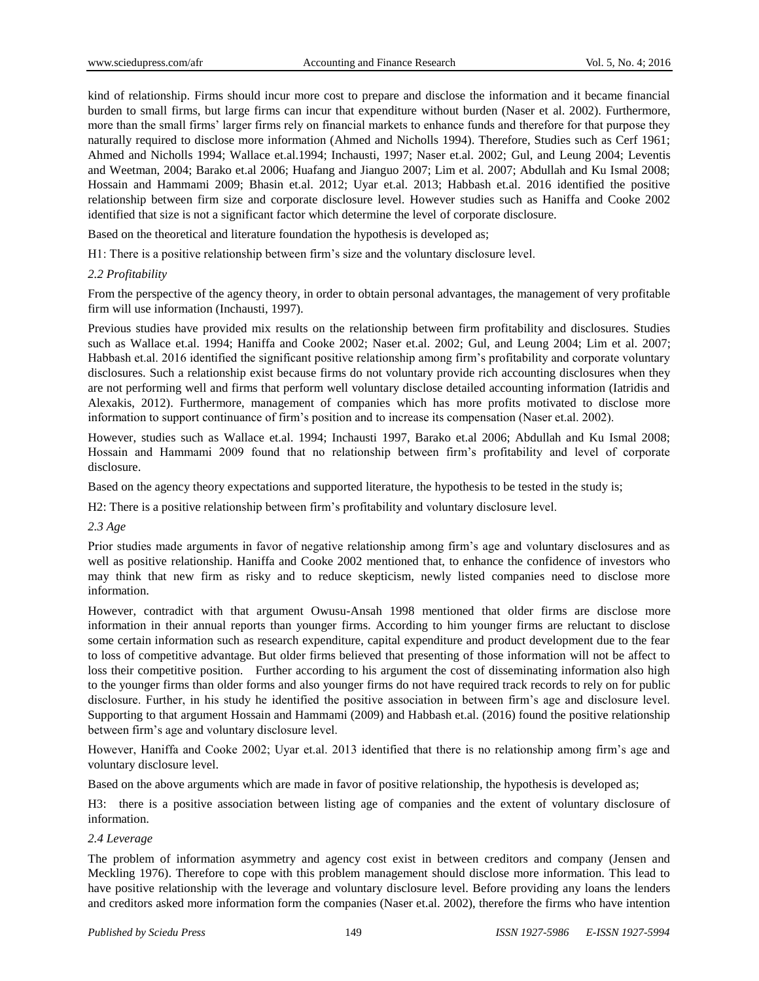kind of relationship. Firms should incur more cost to prepare and disclose the information and it became financial burden to small firms, but large firms can incur that expenditure without burden (Naser et al. 2002). Furthermore, more than the small firms' larger firms rely on financial markets to enhance funds and therefore for that purpose they naturally required to disclose more information (Ahmed and Nicholls 1994). Therefore, Studies such as Cerf 1961; Ahmed and Nicholls 1994; Wallace et.al.1994; Inchausti, 1997; Naser et.al. 2002; Gul, and Leung 2004; Leventis and Weetman, 2004; Barako et.al 2006; Huafang and Jianguo 2007; Lim et al. 2007; Abdullah and Ku Ismal 2008; Hossain and Hammami 2009; Bhasin et.al. 2012; Uyar et.al. 2013; Habbash et.al. 2016 identified the positive relationship between firm size and corporate disclosure level. However studies such as Haniffa and Cooke 2002 identified that size is not a significant factor which determine the level of corporate disclosure.

Based on the theoretical and literature foundation the hypothesis is developed as;

H1: There is a positive relationship between firm's size and the voluntary disclosure level.

## *2.2 Profitability*

From the perspective of the agency theory, in order to obtain personal advantages, the management of very profitable firm will use information (Inchausti, 1997).

Previous studies have provided mix results on the relationship between firm profitability and disclosures. Studies such as Wallace et.al. 1994; Haniffa and Cooke 2002; Naser et.al. 2002; Gul, and Leung 2004; Lim et al. 2007; Habbash et.al. 2016 identified the significant positive relationship among firm's profitability and corporate voluntary disclosures. Such a relationship exist because firms do not voluntary provide rich accounting disclosures when they are not performing well and firms that perform well voluntary disclose detailed accounting information (Iatridis and Alexakis, 2012). Furthermore, management of companies which has more profits motivated to disclose more information to support continuance of firm's position and to increase its compensation (Naser et.al. 2002).

However, studies such as Wallace et.al. 1994; Inchausti 1997, Barako et.al 2006; Abdullah and Ku Ismal 2008; Hossain and Hammami 2009 found that no relationship between firm's profitability and level of corporate disclosure.

Based on the agency theory expectations and supported literature, the hypothesis to be tested in the study is;

H2: There is a positive relationship between firm's profitability and voluntary disclosure level.

*2.3 Age*

Prior studies made arguments in favor of negative relationship among firm's age and voluntary disclosures and as well as positive relationship. Haniffa and Cooke 2002 mentioned that, to enhance the confidence of investors who may think that new firm as risky and to reduce skepticism, newly listed companies need to disclose more information.

However, contradict with that argument Owusu-Ansah 1998 mentioned that older firms are disclose more information in their annual reports than younger firms. According to him younger firms are reluctant to disclose some certain information such as research expenditure, capital expenditure and product development due to the fear to loss of competitive advantage. But older firms believed that presenting of those information will not be affect to loss their competitive position. Further according to his argument the cost of disseminating information also high to the younger firms than older forms and also younger firms do not have required track records to rely on for public disclosure. Further, in his study he identified the positive association in between firm's age and disclosure level. Supporting to that argument Hossain and Hammami (2009) and Habbash et.al. (2016) found the positive relationship between firm's age and voluntary disclosure level.

However, Haniffa and Cooke 2002; Uyar et.al. 2013 identified that there is no relationship among firm's age and voluntary disclosure level.

Based on the above arguments which are made in favor of positive relationship, the hypothesis is developed as;

H3: there is a positive association between listing age of companies and the extent of voluntary disclosure of information.

## *2.4 Leverage*

The problem of information asymmetry and agency cost exist in between creditors and company (Jensen and Meckling 1976). Therefore to cope with this problem management should disclose more information. This lead to have positive relationship with the leverage and voluntary disclosure level. Before providing any loans the lenders and creditors asked more information form the companies (Naser et.al. 2002), therefore the firms who have intention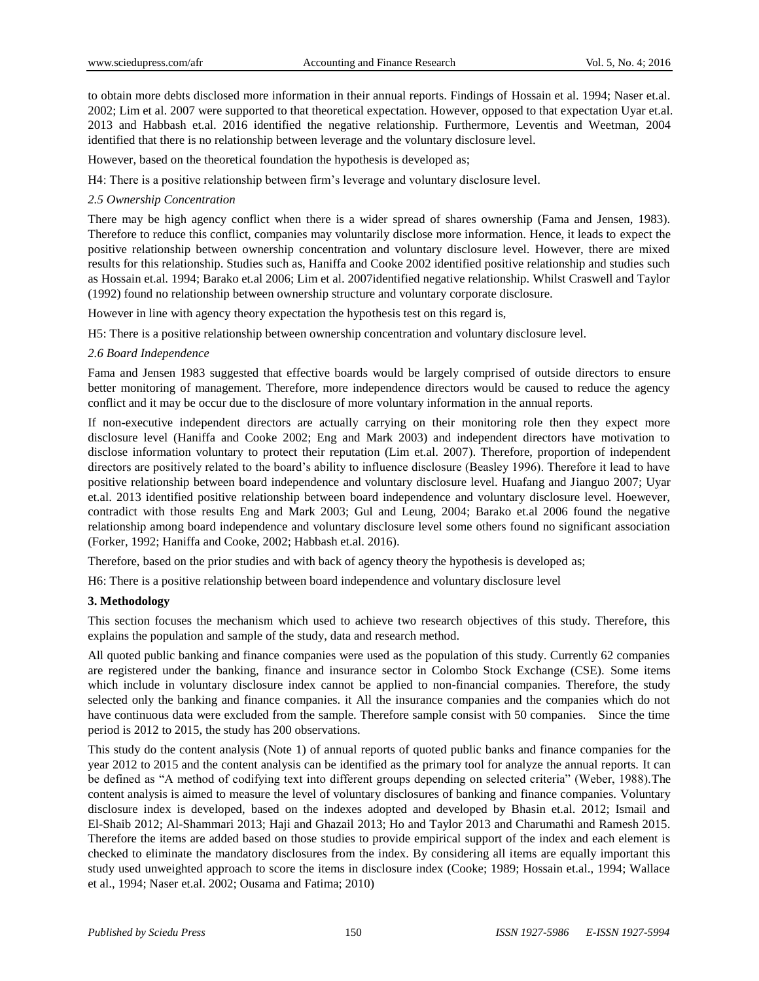to obtain more debts disclosed more information in their annual reports. Findings of Hossain et al. 1994; Naser et.al. 2002; Lim et al. 2007 were supported to that theoretical expectation. However, opposed to that expectation Uyar et.al. 2013 and Habbash et.al. 2016 identified the negative relationship. Furthermore, Leventis and Weetman, 2004 identified that there is no relationship between leverage and the voluntary disclosure level.

However, based on the theoretical foundation the hypothesis is developed as;

H4: There is a positive relationship between firm's leverage and voluntary disclosure level.

## *2.5 Ownership Concentration*

There may be high agency conflict when there is a wider spread of shares ownership (Fama and Jensen, 1983). Therefore to reduce this conflict, companies may voluntarily disclose more information. Hence, it leads to expect the positive relationship between ownership concentration and voluntary disclosure level. However, there are mixed results for this relationship. Studies such as, Haniffa and Cooke 2002 identified positive relationship and studies such as Hossain et.al. 1994; Barako et.al 2006; Lim et al. 2007identified negative relationship. Whilst Craswell and Taylor (1992) found no relationship between ownership structure and voluntary corporate disclosure.

However in line with agency theory expectation the hypothesis test on this regard is,

H5: There is a positive relationship between ownership concentration and voluntary disclosure level.

## *2.6 Board Independence*

Fama and Jensen 1983 suggested that effective boards would be largely comprised of outside directors to ensure better monitoring of management. Therefore, more independence directors would be caused to reduce the agency conflict and it may be occur due to the disclosure of more voluntary information in the annual reports.

If non-executive independent directors are actually carrying on their monitoring role then they expect more disclosure level (Haniffa and Cooke 2002; Eng and Mark 2003) and independent directors have motivation to disclose information voluntary to protect their reputation (Lim et.al. 2007). Therefore, proportion of independent directors are positively related to the board's ability to influence disclosure (Beasley 1996). Therefore it lead to have positive relationship between board independence and voluntary disclosure level. Huafang and Jianguo 2007; Uyar et.al. 2013 identified positive relationship between board independence and voluntary disclosure level. Hoewever, contradict with those results Eng and Mark 2003; Gul and Leung, 2004; Barako et.al 2006 found the negative relationship among board independence and voluntary disclosure level some others found no significant association (Forker, 1992; Haniffa and Cooke, 2002; Habbash et.al. 2016).

Therefore, based on the prior studies and with back of agency theory the hypothesis is developed as;

H6: There is a positive relationship between board independence and voluntary disclosure level

# **3. Methodology**

This section focuses the mechanism which used to achieve two research objectives of this study. Therefore, this explains the population and sample of the study, data and research method.

All quoted public banking and finance companies were used as the population of this study. Currently 62 companies are registered under the banking, finance and insurance sector in Colombo Stock Exchange (CSE). Some items which include in voluntary disclosure index cannot be applied to non-financial companies. Therefore, the study selected only the banking and finance companies. it All the insurance companies and the companies which do not have continuous data were excluded from the sample. Therefore sample consist with 50 companies. Since the time period is 2012 to 2015, the study has 200 observations.

This study do the content analysis (Note 1) of annual reports of quoted public banks and finance companies for the year 2012 to 2015 and the content analysis can be identified as the primary tool for analyze the annual reports. It can be defined as "A method of codifying text into different groups depending on selected criteria" (Weber, 1988).The content analysis is aimed to measure the level of voluntary disclosures of banking and finance companies. Voluntary disclosure index is developed, based on the indexes adopted and developed by Bhasin et.al. 2012; Ismail and El-Shaib 2012; Al-Shammari 2013; Haji and Ghazail 2013; Ho and Taylor 2013 and Charumathi and Ramesh 2015. Therefore the items are added based on those studies to provide empirical support of the index and each element is checked to eliminate the mandatory disclosures from the index. By considering all items are equally important this study used unweighted approach to score the items in disclosure index (Cooke; 1989; Hossain et.al., 1994; Wallace et al., 1994; Naser et.al. 2002; Ousama and Fatima; 2010)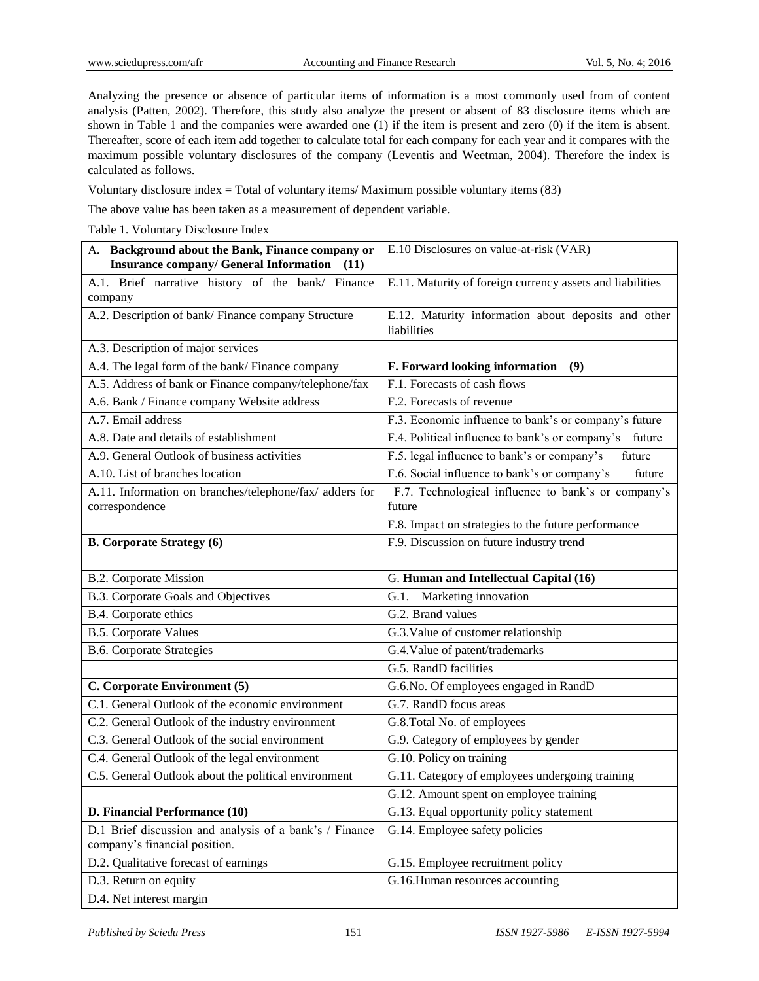Analyzing the presence or absence of particular items of information is a most commonly used from of content analysis (Patten, 2002). Therefore, this study also analyze the present or absent of 83 disclosure items which are shown in Table 1 and the companies were awarded one (1) if the item is present and zero (0) if the item is absent. Thereafter, score of each item add together to calculate total for each company for each year and it compares with the maximum possible voluntary disclosures of the company (Leventis and Weetman, 2004). Therefore the index is calculated as follows.

Voluntary disclosure index = Total of voluntary items/ Maximum possible voluntary items (83)

The above value has been taken as a measurement of dependent variable.

Table 1. Voluntary Disclosure Index

| A. Background about the Bank, Finance company or                                         | E.10 Disclosures on value-at-risk (VAR)                                             |  |  |  |  |
|------------------------------------------------------------------------------------------|-------------------------------------------------------------------------------------|--|--|--|--|
| <b>Insurance company/ General Information</b> (11)                                       |                                                                                     |  |  |  |  |
| A.1. Brief narrative history of the bank/ Finance<br>company                             | E.11. Maturity of foreign currency assets and liabilities                           |  |  |  |  |
| A.2. Description of bank/ Finance company Structure                                      | E.12. Maturity information about deposits and other<br>liabilities                  |  |  |  |  |
| A.3. Description of major services                                                       |                                                                                     |  |  |  |  |
| A.4. The legal form of the bank/ Finance company                                         | F. Forward looking information<br>(9)                                               |  |  |  |  |
| A.5. Address of bank or Finance company/telephone/fax                                    | F.1. Forecasts of cash flows                                                        |  |  |  |  |
| A.6. Bank / Finance company Website address                                              | F.2. Forecasts of revenue                                                           |  |  |  |  |
| A.7. Email address                                                                       | F.3. Economic influence to bank's or company's future                               |  |  |  |  |
| A.8. Date and details of establishment                                                   | F.4. Political influence to bank's or company's<br>future                           |  |  |  |  |
| A.9. General Outlook of business activities                                              | F.5. legal influence to bank's or company's<br>future                               |  |  |  |  |
| A.10. List of branches location                                                          | F.6. Social influence to bank's or company's<br>future                              |  |  |  |  |
| A.11. Information on branches/telephone/fax/ adders for<br>correspondence                | F.7. Technological influence to bank's or company's<br>future                       |  |  |  |  |
|                                                                                          | F.8. Impact on strategies to the future performance                                 |  |  |  |  |
| <b>B. Corporate Strategy (6)</b>                                                         | F.9. Discussion on future industry trend                                            |  |  |  |  |
|                                                                                          |                                                                                     |  |  |  |  |
|                                                                                          |                                                                                     |  |  |  |  |
| B.2. Corporate Mission                                                                   | G. Human and Intellectual Capital (16)                                              |  |  |  |  |
| B.3. Corporate Goals and Objectives                                                      | Marketing innovation<br>G.1.                                                        |  |  |  |  |
| B.4. Corporate ethics                                                                    | G.2. Brand values                                                                   |  |  |  |  |
| <b>B.5. Corporate Values</b>                                                             | G.3. Value of customer relationship                                                 |  |  |  |  |
| <b>B.6. Corporate Strategies</b>                                                         | G.4. Value of patent/trademarks                                                     |  |  |  |  |
|                                                                                          | G.5. RandD facilities                                                               |  |  |  |  |
| C. Corporate Environment (5)                                                             | G.6.No. Of employees engaged in RandD                                               |  |  |  |  |
| C.1. General Outlook of the economic environment                                         | G.7. RandD focus areas                                                              |  |  |  |  |
| C.2. General Outlook of the industry environment                                         | G.8.Total No. of employees                                                          |  |  |  |  |
| C.3. General Outlook of the social environment                                           | G.9. Category of employees by gender                                                |  |  |  |  |
| C.4. General Outlook of the legal environment                                            | G.10. Policy on training                                                            |  |  |  |  |
| C.5. General Outlook about the political environment                                     | G.11. Category of employees undergoing training                                     |  |  |  |  |
|                                                                                          |                                                                                     |  |  |  |  |
| D. Financial Performance (10)                                                            | G.12. Amount spent on employee training<br>G.13. Equal opportunity policy statement |  |  |  |  |
| D.1 Brief discussion and analysis of a bank's / Finance<br>company's financial position. | G.14. Employee safety policies                                                      |  |  |  |  |
| D.2. Qualitative forecast of earnings                                                    | G.15. Employee recruitment policy                                                   |  |  |  |  |
| D.3. Return on equity                                                                    | G.16.Human resources accounting                                                     |  |  |  |  |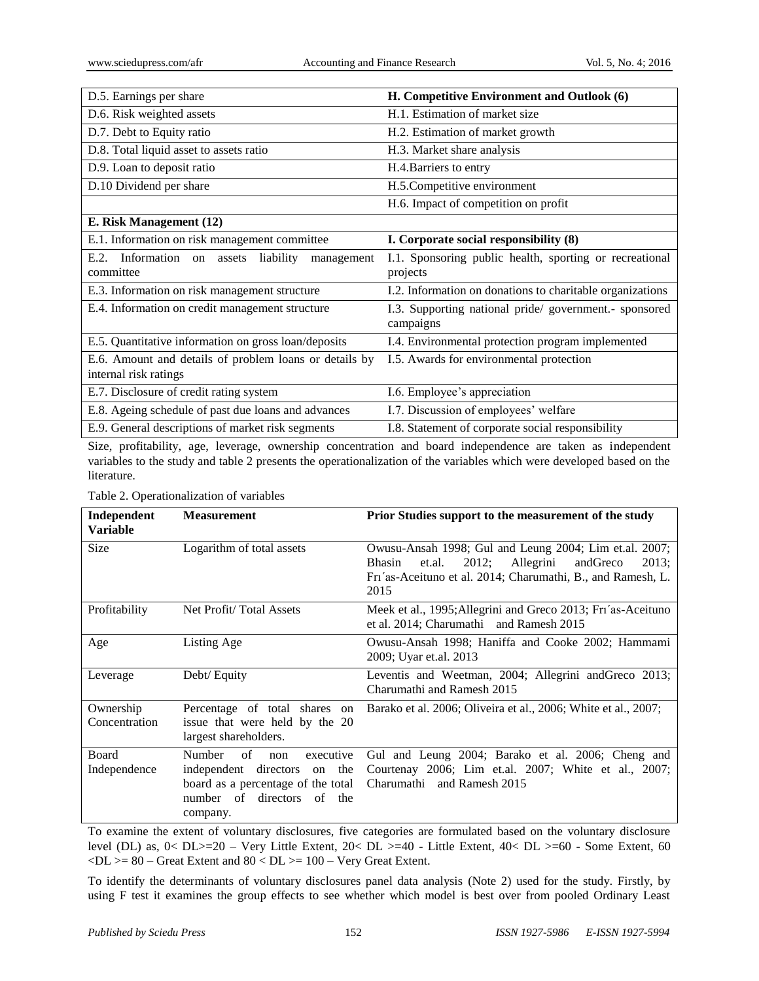| D.5. Earnings per share                                            | H. Competitive Environment and Outlook (6)                          |  |  |  |  |
|--------------------------------------------------------------------|---------------------------------------------------------------------|--|--|--|--|
| D.6. Risk weighted assets                                          | H.1. Estimation of market size                                      |  |  |  |  |
| D.7. Debt to Equity ratio                                          | H.2. Estimation of market growth                                    |  |  |  |  |
| D.8. Total liquid asset to assets ratio                            | H.3. Market share analysis                                          |  |  |  |  |
| D.9. Loan to deposit ratio                                         | H.4. Barriers to entry                                              |  |  |  |  |
| D.10 Dividend per share                                            | H.5.Competitive environment                                         |  |  |  |  |
|                                                                    | H.6. Impact of competition on profit                                |  |  |  |  |
| E. Risk Management (12)                                            |                                                                     |  |  |  |  |
| E.1. Information on risk management committee                      | I. Corporate social responsibility (8)                              |  |  |  |  |
| Information on assets liability<br>E.2.<br>management<br>committee | I.1. Sponsoring public health, sporting or recreational<br>projects |  |  |  |  |
| E.3. Information on risk management structure                      | I.2. Information on donations to charitable organizations           |  |  |  |  |
| E.4. Information on credit management structure                    | I.3. Supporting national pride/government.- sponsored<br>campaigns  |  |  |  |  |
| E.5. Quantitative information on gross loan/deposits               | I.4. Environmental protection program implemented                   |  |  |  |  |
| E.6. Amount and details of problem loans or details by             | I.5. Awards for environmental protection                            |  |  |  |  |
| internal risk ratings                                              |                                                                     |  |  |  |  |
| E.7. Disclosure of credit rating system                            | I.6. Employee's appreciation                                        |  |  |  |  |
| E.8. Ageing schedule of past due loans and advances                | I.7. Discussion of employees' welfare                               |  |  |  |  |
| E.9. General descriptions of market risk segments                  | I.8. Statement of corporate social responsibility                   |  |  |  |  |

Size, profitability, age, leverage, ownership concentration and board independence are taken as independent variables to the study and table 2 presents the operationalization of the variables which were developed based on the literature.

Table 2. Operationalization of variables

| Independent<br>Variable    | <b>Measurement</b>                                                                                                                                         | <b>Prior Studies support to the measurement of the study</b>                                                                                                                                        |  |  |
|----------------------------|------------------------------------------------------------------------------------------------------------------------------------------------------------|-----------------------------------------------------------------------------------------------------------------------------------------------------------------------------------------------------|--|--|
| <b>Size</b>                | Logarithm of total assets                                                                                                                                  | Owusu-Ansah 1998; Gul and Leung 2004; Lim et.al. 2007;<br>Allegrini<br><b>Bhasin</b><br>2012;<br>andGreco<br>2013:<br>et.al.<br>Fri'as-Aceituno et al. 2014; Charumathi, B., and Ramesh, L.<br>2015 |  |  |
| Profitability              | Net Profit/Total Assets                                                                                                                                    | Meek et al., 1995; Allegrini and Greco 2013; Fri'as-Aceituno<br>et al. 2014; Charumathi and Ramesh 2015                                                                                             |  |  |
| Age                        | Listing Age                                                                                                                                                | Owusu-Ansah 1998; Haniffa and Cooke 2002; Hammami<br>2009; Uyar et.al. 2013                                                                                                                         |  |  |
| Leverage                   | Debt/ Equity                                                                                                                                               | Leventis and Weetman, 2004; Allegrini and Greco 2013;<br>Charumathi and Ramesh 2015                                                                                                                 |  |  |
| Ownership<br>Concentration | Percentage of total shares on<br>issue that were held by the 20<br>largest shareholders.                                                                   | Barako et al. 2006; Oliveira et al., 2006; White et al., 2007;                                                                                                                                      |  |  |
| Board<br>Independence      | <b>Number</b><br>of<br>executive<br>non<br>independent directors on the<br>board as a percentage of the total<br>number of directors<br>of the<br>company. | Gul and Leung 2004; Barako et al. 2006; Cheng and<br>Courtenay 2006; Lim et.al. 2007; White et al., 2007;<br>Charumathi and Ramesh 2015                                                             |  |  |

To examine the extent of voluntary disclosures, five categories are formulated based on the voluntary disclosure level (DL) as, 0< DL>=20 – Very Little Extent, 20< DL >=40 - Little Extent, 40< DL >=60 - Some Extent, 60  $\langle DL \rangle = 80$  – Great Extent and  $80 < DL \rangle = 100$  – Very Great Extent.

To identify the determinants of voluntary disclosures panel data analysis (Note 2) used for the study. Firstly, by using F test it examines the group effects to see whether which model is best over from pooled Ordinary Least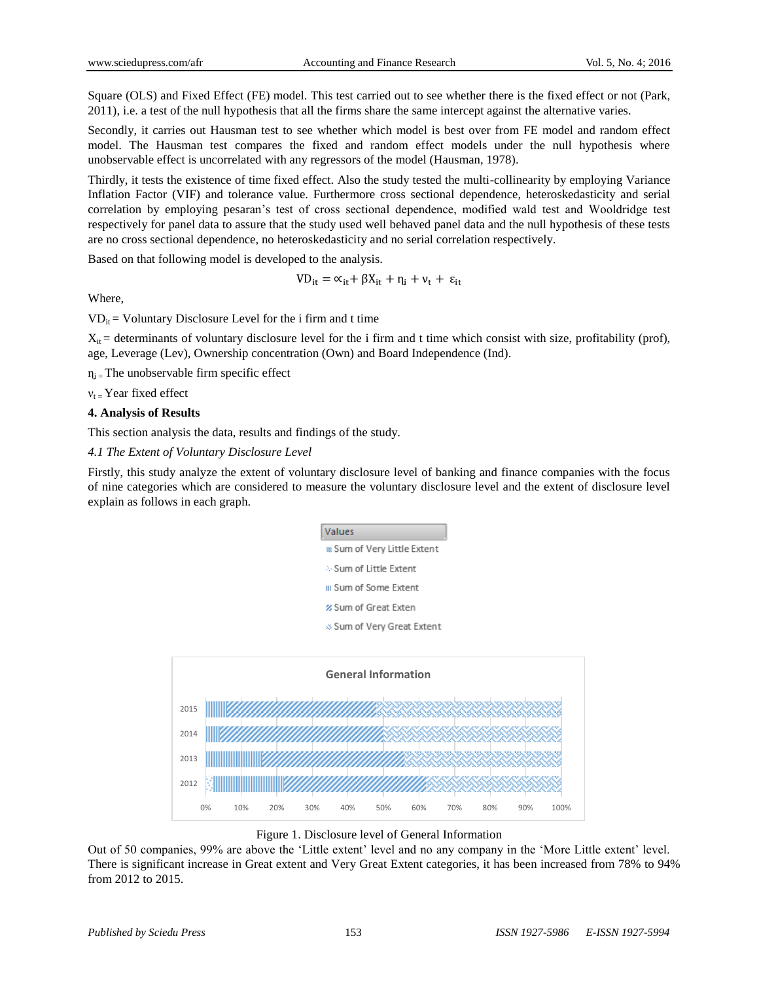Square (OLS) and Fixed Effect (FE) model. This test carried out to see whether there is the fixed effect or not (Park, 2011), i.e. a test of the null hypothesis that all the firms share the same intercept against the alternative varies.

Secondly, it carries out Hausman test to see whether which model is best over from FE model and random effect model. The Hausman test compares the fixed and random effect models under the null hypothesis where unobservable effect is uncorrelated with any regressors of the model (Hausman, 1978).

Thirdly, it tests the existence of time fixed effect. Also the study tested the multi-collinearity by employing Variance Inflation Factor (VIF) and tolerance value. Furthermore cross sectional dependence, heteroskedasticity and serial correlation by employing pesaran's test of cross sectional dependence, modified wald test and Wooldridge test respectively for panel data to assure that the study used well behaved panel data and the null hypothesis of these tests are no cross sectional dependence, no heteroskedasticity and no serial correlation respectively.

Based on that following model is developed to the analysis.

 $VD_{it} = \alpha_{it} + \beta X_{it} + \eta_i + \nu_t + \varepsilon_{it}$ 

Where,

 $VD_{it} = Voluntary Disclosure Level for the i firm and t time$ 

 $X_{it}$  = determinants of voluntary disclosure level for the i firm and t time which consist with size, profitability (prof), age, Leverage (Lev), Ownership concentration (Own) and Board Independence (Ind).

 $\eta_i$  = The unobservable firm specific effect

 $v_t$  = Year fixed effect

## **4. Analysis of Results**

This section analysis the data, results and findings of the study.

*4.1 The Extent of Voluntary Disclosure Level*

Firstly, this study analyze the extent of voluntary disclosure level of banking and finance companies with the focus of nine categories which are considered to measure the voluntary disclosure level and the extent of disclosure level explain as follows in each graph.





Figure 1. Disclosure level of General Information

Out of 50 companies, 99% are above the 'Little extent' level and no any company in the 'More Little extent' level. There is significant increase in Great extent and Very Great Extent categories, it has been increased from 78% to 94% from 2012 to 2015.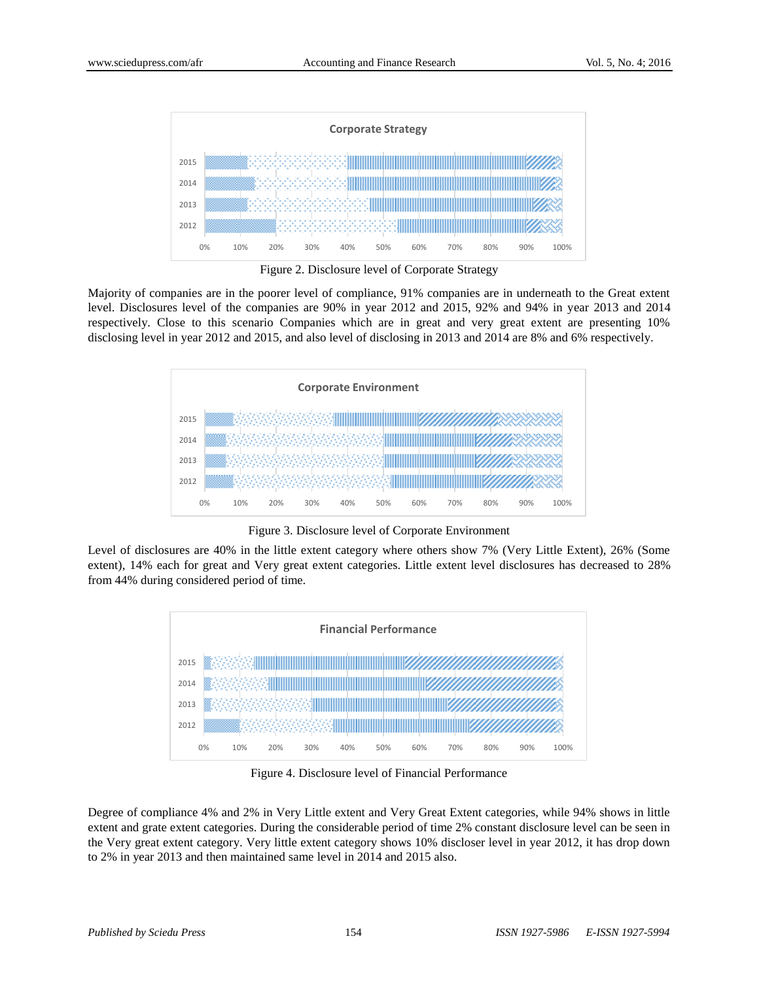

Figure 2. Disclosure level of Corporate Strategy

Majority of companies are in the poorer level of compliance, 91% companies are in underneath to the Great extent level. Disclosures level of the companies are 90% in year 2012 and 2015, 92% and 94% in year 2013 and 2014 respectively. Close to this scenario Companies which are in great and very great extent are presenting 10% disclosing level in year 2012 and 2015, and also level of disclosing in 2013 and 2014 are 8% and 6% respectively.



Figure 3. Disclosure level of Corporate Environment

Level of disclosures are 40% in the little extent category where others show 7% (Very Little Extent), 26% (Some extent), 14% each for great and Very great extent categories. Little extent level disclosures has decreased to 28% from 44% during considered period of time.



Figure 4. Disclosure level of Financial Performance

Degree of compliance 4% and 2% in Very Little extent and Very Great Extent categories, while 94% shows in little extent and grate extent categories. During the considerable period of time 2% constant disclosure level can be seen in the Very great extent category. Very little extent category shows 10% discloser level in year 2012, it has drop down to 2% in year 2013 and then maintained same level in 2014 and 2015 also.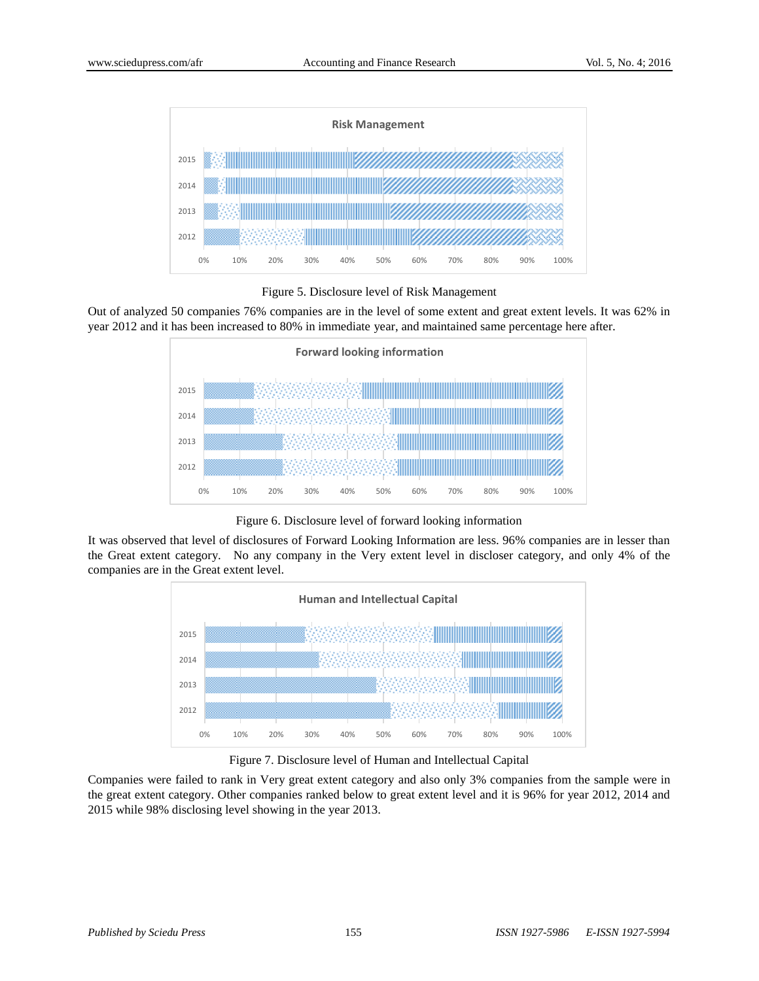

Figure 5. Disclosure level of Risk Management

Out of analyzed 50 companies 76% companies are in the level of some extent and great extent levels. It was 62% in year 2012 and it has been increased to 80% in immediate year, and maintained same percentage here after.



Figure 6. Disclosure level of forward looking information

It was observed that level of disclosures of Forward Looking Information are less. 96% companies are in lesser than the Great extent category. No any company in the Very extent level in discloser category, and only 4% of the companies are in the Great extent level.



Figure 7. Disclosure level of Human and Intellectual Capital

Companies were failed to rank in Very great extent category and also only 3% companies from the sample were in the great extent category. Other companies ranked below to great extent level and it is 96% for year 2012, 2014 and 2015 while 98% disclosing level showing in the year 2013.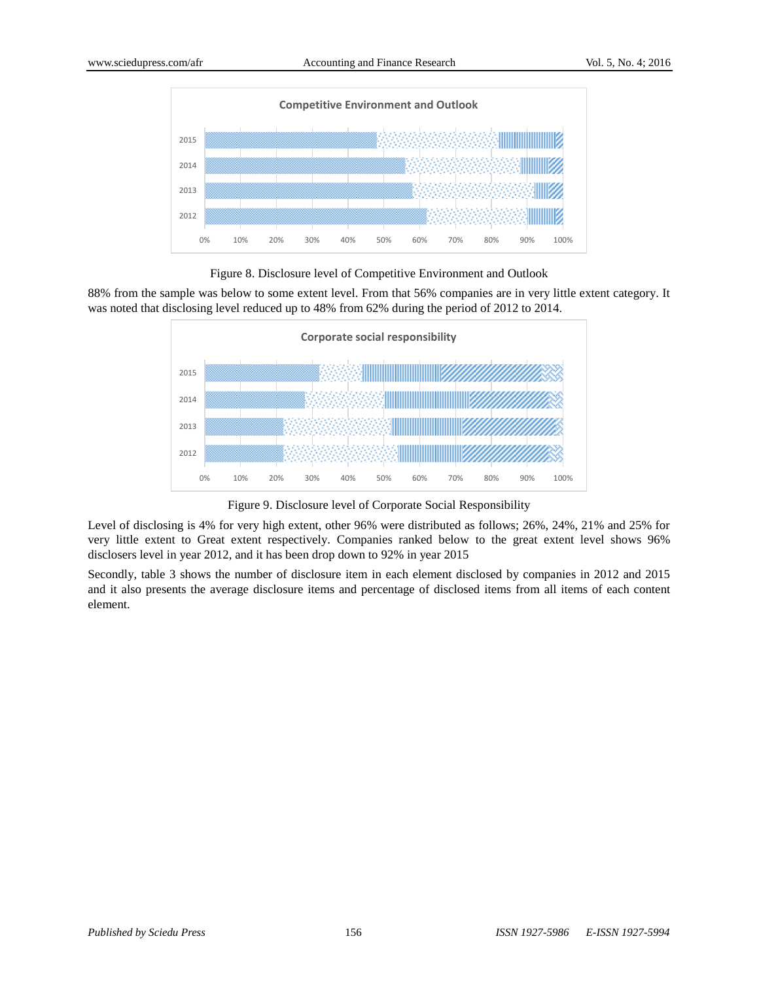

Figure 8. Disclosure level of Competitive Environment and Outlook

88% from the sample was below to some extent level. From that 56% companies are in very little extent category. It was noted that disclosing level reduced up to 48% from 62% during the period of 2012 to 2014.



Figure 9. Disclosure level of Corporate Social Responsibility

Level of disclosing is 4% for very high extent, other 96% were distributed as follows; 26%, 24%, 21% and 25% for very little extent to Great extent respectively. Companies ranked below to the great extent level shows 96% disclosers level in year 2012, and it has been drop down to 92% in year 2015

Secondly, table 3 shows the number of disclosure item in each element disclosed by companies in 2012 and 2015 and it also presents the average disclosure items and percentage of disclosed items from all items of each content element.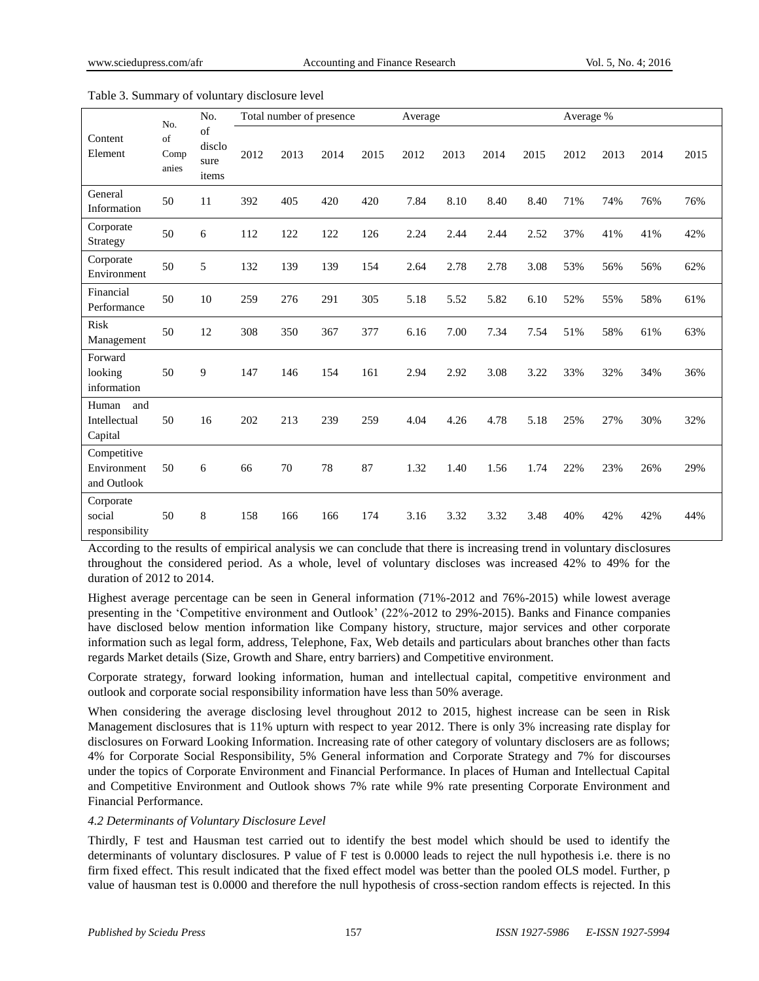|                                           | No.                 | No.                           | Total number of presence |      |      | Average |      |      | Average % |      |      |      |      |      |
|-------------------------------------------|---------------------|-------------------------------|--------------------------|------|------|---------|------|------|-----------|------|------|------|------|------|
| Content<br>Element                        | of<br>Comp<br>anies | of<br>disclo<br>sure<br>items | 2012                     | 2013 | 2014 | 2015    | 2012 | 2013 | 2014      | 2015 | 2012 | 2013 | 2014 | 2015 |
| General<br>Information                    | 50                  | 11                            | 392                      | 405  | 420  | 420     | 7.84 | 8.10 | 8.40      | 8.40 | 71%  | 74%  | 76%  | 76%  |
| Corporate<br>Strategy                     | 50                  | 6                             | 112                      | 122  | 122  | 126     | 2.24 | 2.44 | 2.44      | 2.52 | 37%  | 41%  | 41%  | 42%  |
| Corporate<br>Environment                  | 50                  | 5                             | 132                      | 139  | 139  | 154     | 2.64 | 2.78 | 2.78      | 3.08 | 53%  | 56%  | 56%  | 62%  |
| Financial<br>Performance                  | 50                  | 10                            | 259                      | 276  | 291  | 305     | 5.18 | 5.52 | 5.82      | 6.10 | 52%  | 55%  | 58%  | 61%  |
| <b>Risk</b><br>Management                 | 50                  | 12                            | 308                      | 350  | 367  | 377     | 6.16 | 7.00 | 7.34      | 7.54 | 51%  | 58%  | 61%  | 63%  |
| Forward<br>looking<br>information         | 50                  | 9                             | 147                      | 146  | 154  | 161     | 2.94 | 2.92 | 3.08      | 3.22 | 33%  | 32%  | 34%  | 36%  |
| Human<br>and<br>Intellectual<br>Capital   | 50                  | 16                            | 202                      | 213  | 239  | 259     | 4.04 | 4.26 | 4.78      | 5.18 | 25%  | 27%  | 30%  | 32%  |
| Competitive<br>Environment<br>and Outlook | 50                  | 6                             | 66                       | 70   | 78   | 87      | 1.32 | 1.40 | 1.56      | 1.74 | 22%  | 23%  | 26%  | 29%  |
| Corporate<br>social<br>responsibility     | 50                  | $\,$ 8 $\,$                   | 158                      | 166  | 166  | 174     | 3.16 | 3.32 | 3.32      | 3.48 | 40%  | 42%  | 42%  | 44%  |

#### Table 3. Summary of voluntary disclosure level

According to the results of empirical analysis we can conclude that there is increasing trend in voluntary disclosures throughout the considered period. As a whole, level of voluntary discloses was increased 42% to 49% for the duration of 2012 to 2014.

Highest average percentage can be seen in General information (71%-2012 and 76%-2015) while lowest average presenting in the 'Competitive environment and Outlook' (22%-2012 to 29%-2015). Banks and Finance companies have disclosed below mention information like Company history, structure, major services and other corporate information such as legal form, address, Telephone, Fax, Web details and particulars about branches other than facts regards Market details (Size, Growth and Share, entry barriers) and Competitive environment.

Corporate strategy, forward looking information, human and intellectual capital, competitive environment and outlook and corporate social responsibility information have less than 50% average.

When considering the average disclosing level throughout 2012 to 2015, highest increase can be seen in Risk Management disclosures that is 11% upturn with respect to year 2012. There is only 3% increasing rate display for disclosures on Forward Looking Information. Increasing rate of other category of voluntary disclosers are as follows; 4% for Corporate Social Responsibility, 5% General information and Corporate Strategy and 7% for discourses under the topics of Corporate Environment and Financial Performance. In places of Human and Intellectual Capital and Competitive Environment and Outlook shows 7% rate while 9% rate presenting Corporate Environment and Financial Performance.

## *4.2 Determinants of Voluntary Disclosure Level*

Thirdly, F test and Hausman test carried out to identify the best model which should be used to identify the determinants of voluntary disclosures. P value of F test is 0.0000 leads to reject the null hypothesis i.e. there is no firm fixed effect. This result indicated that the fixed effect model was better than the pooled OLS model. Further, p value of hausman test is 0.0000 and therefore the null hypothesis of cross-section random effects is rejected. In this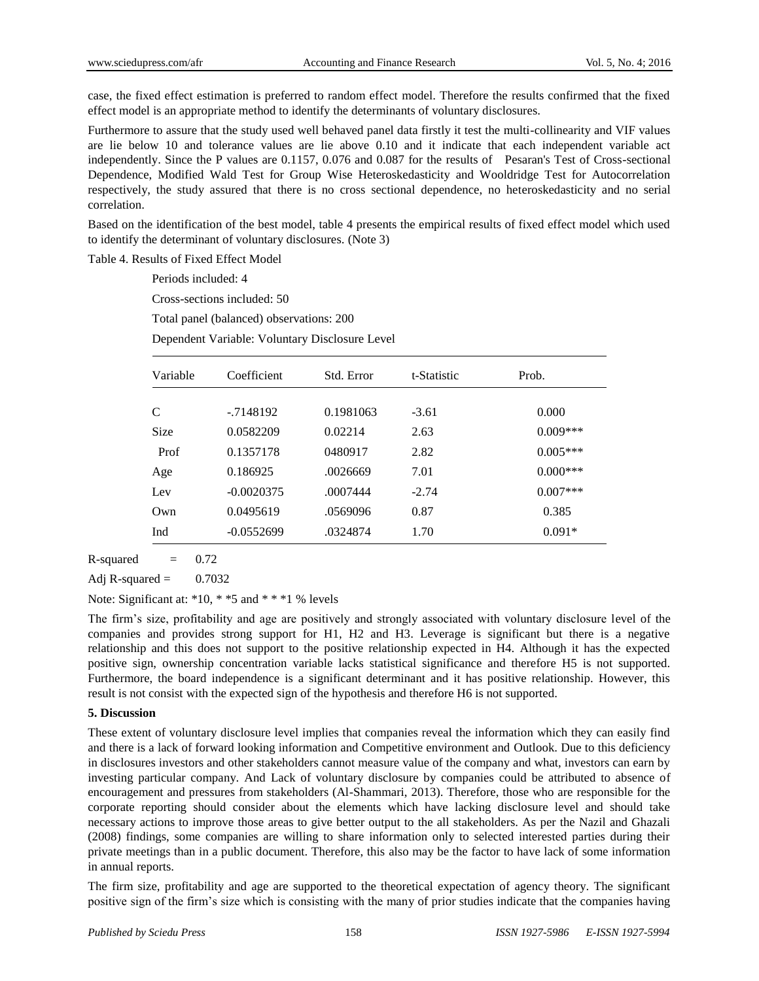case, the fixed effect estimation is preferred to random effect model. Therefore the results confirmed that the fixed effect model is an appropriate method to identify the determinants of voluntary disclosures.

Furthermore to assure that the study used well behaved panel data firstly it test the multi-collinearity and VIF values are lie below 10 and tolerance values are lie above 0.10 and it indicate that each independent variable act independently. Since the P values are 0.1157, 0.076 and 0.087 for the results of Pesaran's Test of Cross-sectional Dependence, Modified Wald Test for Group Wise Heteroskedasticity and Wooldridge Test for Autocorrelation respectively, the study assured that there is no cross sectional dependence, no heteroskedasticity and no serial correlation.

Based on the identification of the best model, table 4 presents the empirical results of fixed effect model which used to identify the determinant of voluntary disclosures. (Note 3)

Table 4. Results of Fixed Effect Model

Periods included: 4

Cross-sections included: 50

Total panel (balanced) observations: 200

Dependent Variable: Voluntary Disclosure Level

| Variable | Coefficient  | Std. Error | t-Statistic | Prob.      |
|----------|--------------|------------|-------------|------------|
|          |              |            |             |            |
| C        | $-7148192$   | 0.1981063  | $-3.61$     | 0.000      |
| Size     | 0.0582209    | 0.02214    | 2.63        | $0.009***$ |
| Prof     | 0.1357178    | 0480917    | 2.82        | $0.005***$ |
| Age      | 0.186925     | .0026669   | 7.01        | $0.000***$ |
| Lev      | $-0.0020375$ | .0007444   | $-2.74$     | $0.007***$ |
| Own      | 0.0495619    | .0569096   | 0.87        | 0.385      |
| Ind      | $-0.0552699$ | .0324874   | 1.70        | $0.091*$   |

 $R$ -squared  $=$  0.72

Adj R-squared =  $0.7032$ 

Note: Significant at: \*10, \* \*5 and \* \* \*1 % levels

The firm's size, profitability and age are positively and strongly associated with voluntary disclosure level of the companies and provides strong support for H1, H2 and H3. Leverage is significant but there is a negative relationship and this does not support to the positive relationship expected in H4. Although it has the expected positive sign, ownership concentration variable lacks statistical significance and therefore H5 is not supported. Furthermore, the board independence is a significant determinant and it has positive relationship. However, this result is not consist with the expected sign of the hypothesis and therefore H6 is not supported.

## **5. Discussion**

These extent of voluntary disclosure level implies that companies reveal the information which they can easily find and there is a lack of forward looking information and Competitive environment and Outlook. Due to this deficiency in disclosures investors and other stakeholders cannot measure value of the company and what, investors can earn by investing particular company. And Lack of voluntary disclosure by companies could be attributed to absence of encouragement and pressures from stakeholders (Al-Shammari, 2013). Therefore, those who are responsible for the corporate reporting should consider about the elements which have lacking disclosure level and should take necessary actions to improve those areas to give better output to the all stakeholders. As per the Nazil and Ghazali (2008) findings, some companies are willing to share information only to selected interested parties during their private meetings than in a public document. Therefore, this also may be the factor to have lack of some information in annual reports.

The firm size, profitability and age are supported to the theoretical expectation of agency theory. The significant positive sign of the firm's size which is consisting with the many of prior studies indicate that the companies having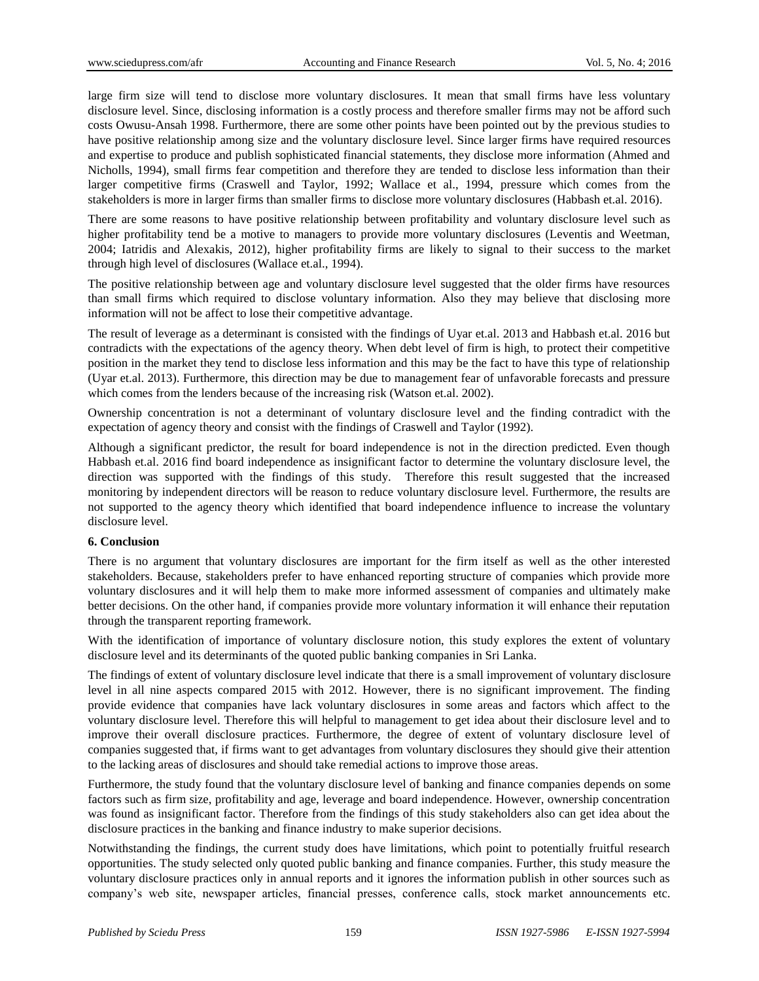large firm size will tend to disclose more voluntary disclosures. It mean that small firms have less voluntary disclosure level. Since, disclosing information is a costly process and therefore smaller firms may not be afford such costs Owusu-Ansah 1998. Furthermore, there are some other points have been pointed out by the previous studies to have positive relationship among size and the voluntary disclosure level. Since larger firms have required resources and expertise to produce and publish sophisticated financial statements, they disclose more information (Ahmed and Nicholls, 1994), small firms fear competition and therefore they are tended to disclose less information than their larger competitive firms (Craswell and Taylor, 1992; Wallace et al., 1994, pressure which comes from the stakeholders is more in larger firms than smaller firms to disclose more voluntary disclosures (Habbash et.al. 2016).

There are some reasons to have positive relationship between profitability and voluntary disclosure level such as higher profitability tend be a motive to managers to provide more voluntary disclosures (Leventis and Weetman, 2004; Iatridis and Alexakis, 2012), higher profitability firms are likely to signal to their success to the market through high level of disclosures (Wallace et.al., 1994).

The positive relationship between age and voluntary disclosure level suggested that the older firms have resources than small firms which required to disclose voluntary information. Also they may believe that disclosing more information will not be affect to lose their competitive advantage.

The result of leverage as a determinant is consisted with the findings of Uyar et.al. 2013 and Habbash et.al. 2016 but contradicts with the expectations of the agency theory. When debt level of firm is high, to protect their competitive position in the market they tend to disclose less information and this may be the fact to have this type of relationship (Uyar et.al. 2013). Furthermore, this direction may be due to management fear of unfavorable forecasts and pressure which comes from the lenders because of the increasing risk (Watson et.al. 2002).

Ownership concentration is not a determinant of voluntary disclosure level and the finding contradict with the expectation of agency theory and consist with the findings of Craswell and Taylor (1992).

Although a significant predictor, the result for board independence is not in the direction predicted. Even though Habbash et.al. 2016 find board independence as insignificant factor to determine the voluntary disclosure level, the direction was supported with the findings of this study. Therefore this result suggested that the increased monitoring by independent directors will be reason to reduce voluntary disclosure level. Furthermore, the results are not supported to the agency theory which identified that board independence influence to increase the voluntary disclosure level.

## **6. Conclusion**

There is no argument that voluntary disclosures are important for the firm itself as well as the other interested stakeholders. Because, stakeholders prefer to have enhanced reporting structure of companies which provide more voluntary disclosures and it will help them to make more informed assessment of companies and ultimately make better decisions. On the other hand, if companies provide more voluntary information it will enhance their reputation through the transparent reporting framework.

With the identification of importance of voluntary disclosure notion, this study explores the extent of voluntary disclosure level and its determinants of the quoted public banking companies in Sri Lanka.

The findings of extent of voluntary disclosure level indicate that there is a small improvement of voluntary disclosure level in all nine aspects compared 2015 with 2012. However, there is no significant improvement. The finding provide evidence that companies have lack voluntary disclosures in some areas and factors which affect to the voluntary disclosure level. Therefore this will helpful to management to get idea about their disclosure level and to improve their overall disclosure practices. Furthermore, the degree of extent of voluntary disclosure level of companies suggested that, if firms want to get advantages from voluntary disclosures they should give their attention to the lacking areas of disclosures and should take remedial actions to improve those areas.

Furthermore, the study found that the voluntary disclosure level of banking and finance companies depends on some factors such as firm size, profitability and age, leverage and board independence. However, ownership concentration was found as insignificant factor. Therefore from the findings of this study stakeholders also can get idea about the disclosure practices in the banking and finance industry to make superior decisions.

Notwithstanding the findings, the current study does have limitations, which point to potentially fruitful research opportunities. The study selected only quoted public banking and finance companies. Further, this study measure the voluntary disclosure practices only in annual reports and it ignores the information publish in other sources such as company's web site, newspaper articles, financial presses, conference calls, stock market announcements etc.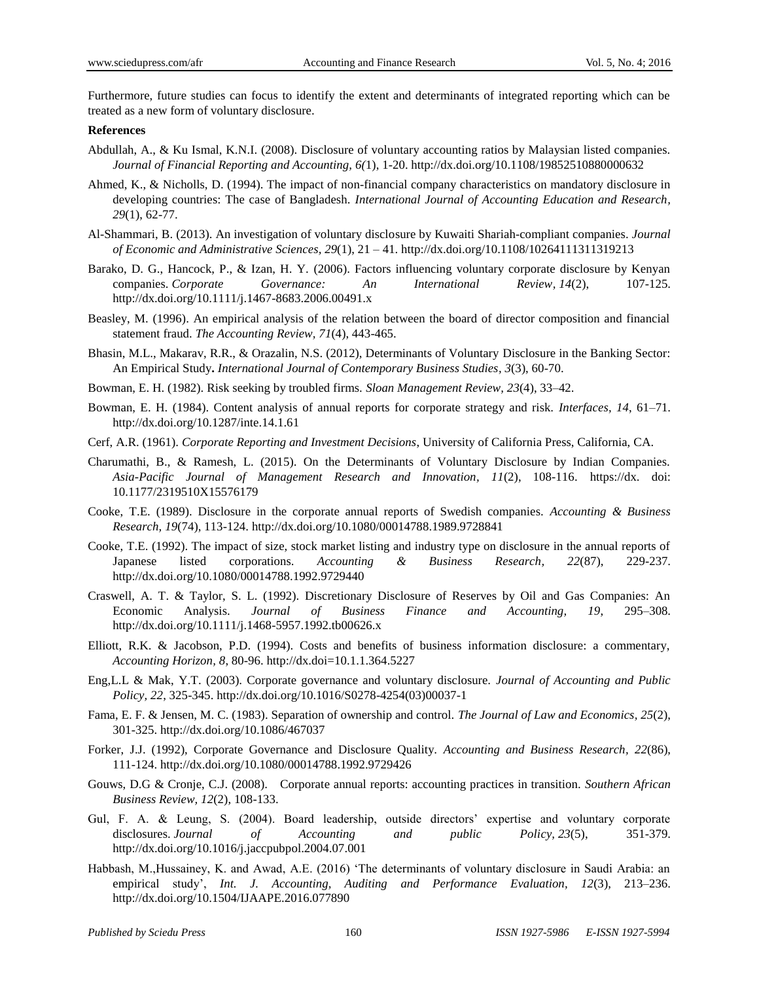Furthermore, future studies can focus to identify the extent and determinants of integrated reporting which can be treated as a new form of voluntary disclosure.

#### **References**

- Abdullah, A., & Ku Ismal, K.N.I. (2008). Disclosure of voluntary accounting ratios by Malaysian listed companies. *Journal of Financial Reporting and Accounting, 6(*1), 1-20. <http://dx.doi.org/10.1108/19852510880000632>
- Ahmed, K., & Nicholls, D. (1994). The impact of non-financial company characteristics on mandatory disclosure in developing countries: The case of Bangladesh. *International Journal of Accounting Education and Research, 29*(1), 62-77.
- Al-Shammari, B. (2013). An investigation of voluntary disclosure by Kuwaiti Shariah-compliant companies. *Journal of Economic and Administrative Sciences, 29*(1), 21 – 41[. http://dx.doi.org/10.1108/10264111311319213](http://dx.doi.org/10.1108/10264111311319213)
- Barako, D. G., Hancock, P., & Izan, H. Y. (2006). Factors influencing voluntary corporate disclosure by Kenyan companies. *Corporate Governance: An International Review, 14*(2), 107-125. <http://dx.doi.org/10.1111/j.1467-8683.2006.00491.x>
- Beasley, M. (1996). An empirical analysis of the relation between the board of director composition and financial statement fraud. *The Accounting Review, 71*(4), 443-465.
- Bhasin, M.L., Makarav, R.R., & Orazalin, N.S. (2012), Determinants of Voluntary Disclosure in the Banking Sector: An Empirical Study**.** *International Journal of Contemporary Business Studies, 3*(3), 60-70.
- Bowman, E. H. (1982). Risk seeking by troubled firms. *Sloan Management Review, 23*(4), 33–42.
- Bowman, E. H. (1984). Content analysis of annual reports for corporate strategy and risk. *Interfaces, 14*, 61–71. <http://dx.doi.org/10.1287/inte.14.1.61>
- Cerf, A.R. (1961). *Corporate Reporting and Investment Decisions*, University of California Press, California, CA.
- Charumathi, B., & Ramesh, L. (2015). On the Determinants of Voluntary Disclosure by Indian Companies. *Asia-Pacific Journal of Management Research and Innovation, 11*(2), 108-116. https://dx. doi: 10.1177/2319510X15576179
- Cooke, T.E. (1989). Disclosure in the corporate annual reports of Swedish companies. *Accounting & Business Research, 19*(74), 113-124. <http://dx.doi.org/10.1080/00014788.1989.9728841>
- Cooke, T.E. (1992). The impact of size, stock market listing and industry type on disclosure in the annual reports of Japanese listed corporations. *Accounting & Business Research, 22*(87), 229-237. <http://dx.doi.org/10.1080/00014788.1992.9729440>
- Craswell, A. T. & Taylor, S. L. (1992). Discretionary Disclosure of Reserves by Oil and Gas Companies: An Economic Analysis. *Journal of Business Finance and Accounting, 19*, 295–308. <http://dx.doi.org/10.1111/j.1468-5957.1992.tb00626.x>
- Elliott, R.K. & Jacobson, P.D. (1994). Costs and benefits of business information disclosure: a commentary, *Accounting Horizon, 8*, 80-96. [http://dx.doi=10.1.1.364.5227](http://dx.doi=10.1.1.364.5227/)
- Eng,L.L & Mak, Y.T. (2003). Corporate governance and voluntary disclosure. *Journal of Accounting and Public Policy, 22*, 325-345. [http://dx.doi.org/10.1016/S0278-4254\(03\)00037-1](http://dx.doi.org/10.1016/S0278-4254(03)00037-1)
- Fama, E. F. & Jensen, M. C. (1983). Separation of ownership and control. *The Journal of Law and Economics, 25*(2), 301-325. <http://dx.doi.org/10.1086/467037>
- Forker, J.J. (1992), Corporate Governance and Disclosure Quality. *Accounting and Business Research, 22*(86), 111-124.<http://dx.doi.org/10.1080/00014788.1992.9729426>
- Gouws, D.G & Cronje, C.J. (2008). Corporate annual reports: accounting practices in transition. *Southern African Business Review, 12*(2), 108-133.
- Gul, F. A. & Leung, S. (2004). Board leadership, outside directors' expertise and voluntary corporate disclosures. *Journal of Accounting and public Policy, 23*(5), 351-379. <http://dx.doi.org/10.1016/j.jaccpubpol.2004.07.001>
- Habbash, M.,Hussainey, K. and Awad, A.E. (2016) 'The determinants of voluntary disclosure in Saudi Arabia: an empirical study', *Int. J. Accounting, Auditing and Performance Evaluation, 12*(3), 213–236. <http://dx.doi.org/10.1504/IJAAPE.2016.077890>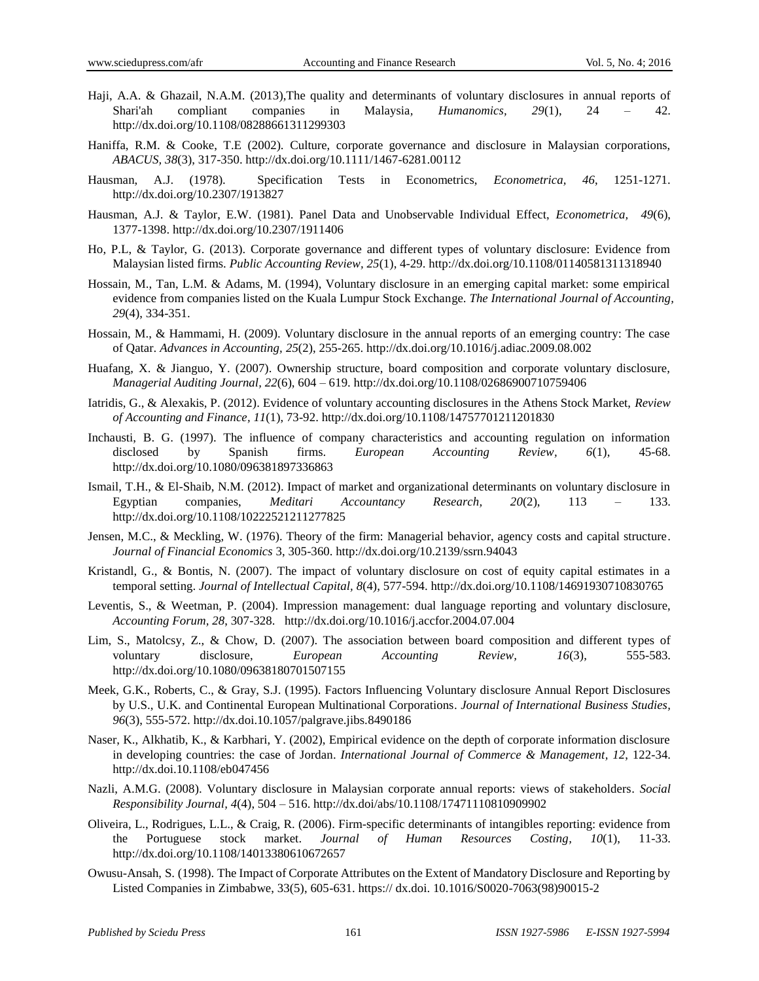- Haji, A.A. & Ghazail, N.A.M. (2013),The quality and determinants of voluntary disclosures in annual reports of Shari'ah compliant companies in Malaysia*, Humanomics, 29*(1), 24 – 42. <http://dx.doi.org/10.1108/08288661311299303>
- Haniffa, R.M. & Cooke, T.E (2002). Culture, corporate governance and disclosure in Malaysian corporations, *ABACUS, 38*(3), 317-350.<http://dx.doi.org/10.1111/1467-6281.00112>
- Hausman, A.J. (1978). Specification Tests in Econometrics, *Econometrica, 46*, 1251-1271. <http://dx.doi.org/10.2307/1913827>
- Hausman, A.J. & Taylor, E.W. (1981). Panel Data and Unobservable Individual Effect, *Econometrica, 49*(6), 1377-1398.<http://dx.doi.org/10.2307/1911406>
- Ho, P.L, & Taylor, G. (2013). Corporate governance and different types of voluntary disclosure: Evidence from Malaysian listed firms. *Public Accounting Review, 25*(1), 4-29.<http://dx.doi.org/10.1108/01140581311318940>
- Hossain, M., Tan, L.M. & Adams, M. (1994), Voluntary disclosure in an emerging capital market: some empirical evidence from companies listed on the Kuala Lumpur Stock Exchange. *The International Journal of Accounting, 29*(4), 334-351.
- Hossain, M., & Hammami, H. (2009). Voluntary disclosure in the annual reports of an emerging country: The case of Qatar. *Advances in Accounting, 25*(2), 255-265[. http://dx.doi.org/10.1016/j.adiac.2009.08.002](http://dx.doi.org/10.1016/j.adiac.2009.08.002)
- Huafang, X. & Jianguo, Y. (2007). Ownership structure, board composition and corporate voluntary disclosure, *Managerial Auditing Journal, 22*(6), 604 – 619.<http://dx.doi.org/10.1108/02686900710759406>
- Iatridis, G., & Alexakis, P. (2012). Evidence of voluntary accounting disclosures in the Athens Stock Market, *Review of Accounting and Finance, 11*(1), 73-92. <http://dx.doi.org/10.1108/14757701211201830>
- Inchausti, B. G. (1997). The influence of company characteristics and accounting regulation on information disclosed by Spanish firms. *European Accounting Review, 6*(1), 45-68. <http://dx.doi.org/10.1080/096381897336863>
- Ismail, T.H., & El-Shaib, N.M. (2012). Impact of market and organizational determinants on voluntary disclosure in Egyptian companies, *Meditari Accountancy Research, 20*(2), 113 – 133. <http://dx.doi.org/10.1108/10222521211277825>
- Jensen, M.C., & Meckling, W. (1976). Theory of the firm: Managerial behavior, agency costs and capital structure. *Journal of Financial Economics* 3, 305-360. <http://dx.doi.org/10.2139/ssrn.94043>
- Kristandl, G., & Bontis, N. (2007). The impact of voluntary disclosure on cost of equity capital estimates in a temporal setting. *Journal of Intellectual Capital, 8*(4), 577-594[. http://dx.doi.org/10.1108/14691930710830765](http://dx.doi.org/10.1108/14691930710830765)
- Leventis, S., & Weetman, P. (2004). Impression management: dual language reporting and voluntary disclosure, *Accounting Forum, 28*, 307-328. <http://dx.doi.org/10.1016/j.accfor.2004.07.004>
- Lim, S., Matolcsy, Z., & Chow, D. (2007). The association between board composition and different types of voluntary disclosure, *European Accounting Review, 16*(3), 555-583. <http://dx.doi.org/10.1080/09638180701507155>
- Meek, G.K., Roberts, C., & Gray, S.J. (1995). Factors Influencing Voluntary disclosure Annual Report Disclosures by U.S., U.K. and Continental European Multinational Corporations. *Journal of International Business Studies, 96*(3), 555-572.<http://dx.doi.10.1057/palgrave.jibs.8490186>
- Naser, K., Alkhatib, K., & Karbhari, Y. (2002), Empirical evidence on the depth of corporate information disclosure in developing countries: the case of Jordan. *International Journal of Commerce & Management, 12*, 122-34. <http://dx.doi.10.1108/eb047456>
- Nazli, A.M.G. (2008). Voluntary disclosure in Malaysian corporate annual reports: views of stakeholders. *Social Responsibility Journal, 4*(4), 504 – 516.<http://dx.doi/abs/10.1108/17471110810909902>
- Oliveira, L., Rodrigues, L.L., & Craig, R. (2006). Firm-specific determinants of intangibles reporting: evidence from the Portuguese stock market. *Journal of Human Resources Costing, 10*(1), 11-33. <http://dx.doi.org/10.1108/14013380610672657>
- Owusu-Ansah, S. (1998). The Impact of Corporate Attributes on the Extent of Mandatory Disclosure and Reporting by Listed Companies in Zimbabwe, 33(5), 605-631. https:// dx.doi. 10.1016/S0020-7063(98)90015-2